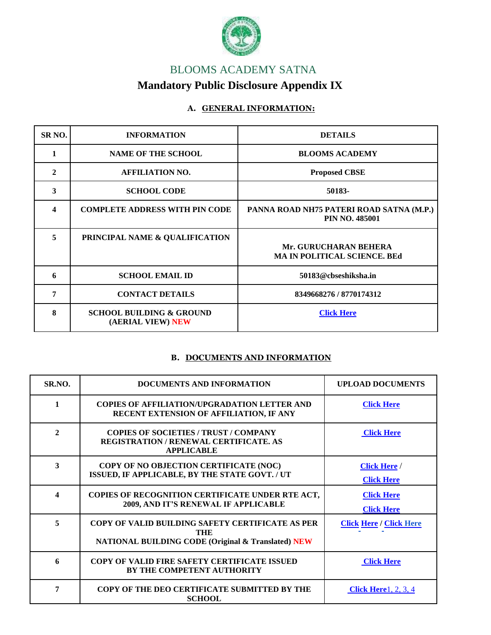

# [BLOOMS ACADEMY SATNA](http://www.bloomsacademy.in/Default.aspx) **Mandatory Public Disclosure Appendix IX**

## **A. GENERAL INFORMATION:**

| SR <sub>NO</sub> . | <b>INFORMATION</b>                                       | <b>DETAILS</b>                                                    |
|--------------------|----------------------------------------------------------|-------------------------------------------------------------------|
| $\mathbf{1}$       | <b>NAME OF THE SCHOOL</b>                                | <b>BLOOMS ACADEMY</b>                                             |
| 2                  | <b>AFFILIATION NO.</b>                                   | <b>Proposed CBSE</b>                                              |
| 3                  | <b>SCHOOL CODE</b>                                       | 50183-                                                            |
| 4                  | <b>COMPLETE ADDRESS WITH PIN CODE</b>                    | PANNA ROAD NH75 PATERI ROAD SATNA (M.P.)<br><b>PIN NO. 485001</b> |
| 5                  | PRINCIPAL NAME & QUALIFICATION                           | Mr. GURUCHARAN BEHERA<br><b>MA IN POLITICAL SCIENCE. BEd</b>      |
| 6                  | <b>SCHOOL EMAIL ID</b>                                   | 50183@cbseshiksha.in                                              |
| 7                  | <b>CONTACT DETAILS</b>                                   | 8349668276 / 8770174312                                           |
| 8                  | <b>SCHOOL BUILDING &amp; GROUND</b><br>(AERIAL VIEW) NEW | <b>Click Here</b>                                                 |

### **B. DOCUMENTS AND INFORMATION**

| SR.NO.           | <b>DOCUMENTS AND INFORMATION</b>                                                                                                | <b>UPLOAD DOCUMENTS</b>                |
|------------------|---------------------------------------------------------------------------------------------------------------------------------|----------------------------------------|
| 1                | <b>COPIES OF AFFILIATION/UPGRADATION LETTER AND</b><br>RECENT EXTENSION OF AFFILIATION, IF ANY                                  | <b>Click Here</b>                      |
| $\mathbf{2}$     | <b>COPIES OF SOCIETIES / TRUST / COMPANY</b><br><b>REGISTRATION/RENEWAL CERTIFICATE. AS</b><br><b>APPLICABLE</b>                | <b>Click Here</b>                      |
| 3                | COPY OF NO OBJECTION CERTIFICATE (NOC)<br>ISSUED, IF APPLICABLE, BY THE STATE GOVT. / UT                                        | <b>Click Here</b><br><b>Click Here</b> |
| $\boldsymbol{4}$ | COPIES OF RECOGNITION CERTIFICATE UNDER RTE ACT,<br>2009, AND IT'S RENEWAL IF APPLICABLE                                        | <b>Click Here</b><br><b>Click Here</b> |
| 5                | COPY OF VALID BUILDING SAFETY CERTIFICATE AS PER<br><b>THE</b><br><b>NATIONAL BUILDING CODE (Original &amp; Translated) NEW</b> | <b>Click Here / Click Here</b>         |
| 6                | COPY OF VALID FIRE SAFETY CERTIFICATE ISSUED<br><b>BY THE COMPETENT AUTHORITY</b>                                               | <b>Click Here</b>                      |
| 7                | COPY OF THE DEO CERTIFICATE SUBMITTED BY THE<br><b>SCHOOL</b>                                                                   | <b>Click Here</b> 1, 2, 3, 4           |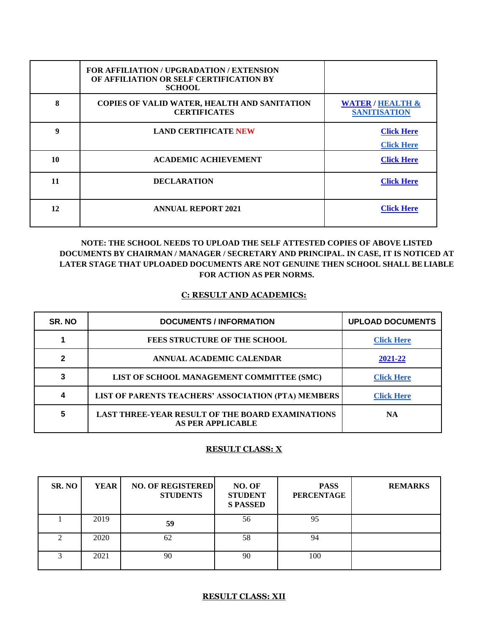|    | FOR AFFILIATION / UPGRADATION / EXTENSION<br>OF AFFILIATION OR SELF CERTIFICATION BY<br><b>SCHOOL</b> |                                                    |
|----|-------------------------------------------------------------------------------------------------------|----------------------------------------------------|
| 8  | COPIES OF VALID WATER, HEALTH AND SANITATION<br><b>CERTIFICATES</b>                                   | <b>WATER / HEALTH &amp;</b><br><b>SANITISATION</b> |
| 9  | <b>LAND CERTIFICATE NEW</b>                                                                           | <b>Click Here</b><br><b>Click Here</b>             |
| 10 | <b>ACADEMIC ACHIEVEMENT</b>                                                                           | <b>Click Here</b>                                  |
| 11 | <b>DECLARATION</b>                                                                                    | <b>Click Here</b>                                  |
| 12 | <b>ANNUAL REPORT 2021</b>                                                                             | <b>Click Here</b>                                  |

### **NOTE: THE SCHOOL NEEDS TO UPLOAD THE SELF ATTESTED COPIES OF ABOVE LISTED DOCUMENTS BY CHAIRMAN / MANAGER / SECRETARY AND PRINCIPAL. IN CASE, IT IS NOTICED AT LATER STAGE THAT UPLOADED DOCUMENTS ARE NOT GENUINE THEN SCHOOL SHALL BELIABLE FOR ACTION AS PER NORMS.**

#### **C: RESULT AND ACADEMICS:**

| SR. NO | <b>DOCUMENTS / INFORMATION</b>                                                      | <b>UPLOAD DOCUMENTS</b> |
|--------|-------------------------------------------------------------------------------------|-------------------------|
|        | <b>FEES STRUCTURE OF THE SCHOOL</b>                                                 | <b>Click Here</b>       |
|        | ANNUAL ACADEMIC CALENDAR                                                            | 2021-22                 |
| າ      | LIST OF SCHOOL MANAGEMENT COMMITTEE (SMC)                                           | <b>Click Here</b>       |
| Δ      | LIST OF PARENTS TEACHERS' ASSOCIATION (PTA) MEMBERS                                 | <b>Click Here</b>       |
| 5      | <b>LAST THREE-YEAR RESULT OF THE BOARD EXAMINATIONS</b><br><b>AS PER APPLICABLE</b> | <b>NA</b>               |

#### **RESULT CLASS: X**

| SR. NO | YEAR | <b>NO. OF REGISTERED</b><br><b>STUDENTS</b> | NO. OF<br><b>STUDENT</b><br><b>S PASSED</b> | <b>PASS</b><br><b>PERCENTAGE</b> | <b>REMARKS</b> |
|--------|------|---------------------------------------------|---------------------------------------------|----------------------------------|----------------|
|        | 2019 | 59                                          | 56                                          | 95                               |                |
|        | 2020 | 62                                          | 58                                          | 94                               |                |
|        | 2021 | 90                                          | 90                                          | 100                              |                |

#### **RESULT CLASS: XII**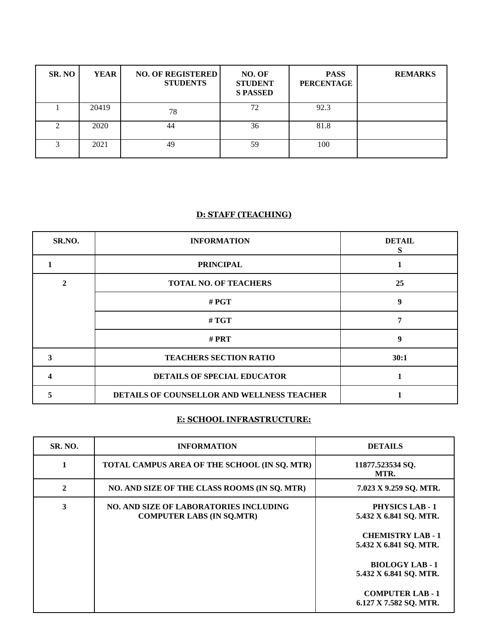| SR. NO | YEAR  | <b>NO. OF REGISTERED</b><br><b>STUDENTS</b> | NO. OF<br><b>STUDENT</b><br><b>S PASSED</b> | <b>PASS</b><br><b>PERCENTAGE</b> | <b>REMARKS</b> |
|--------|-------|---------------------------------------------|---------------------------------------------|----------------------------------|----------------|
|        | 20419 | 78                                          | 72                                          | 92.3                             |                |
| C      | 2020  | 44                                          | 36                                          | 81.8                             |                |
| 3      | 2021  | 49                                          | 59                                          | 100                              |                |

#### **D: STAFF (TEACHING)**

| SR.NO. | <b>INFORMATION</b>                         | <b>DETAIL</b><br>S |
|--------|--------------------------------------------|--------------------|
|        | <b>PRINCIPAL</b>                           |                    |
|        | <b>TOTAL NO. OF TEACHERS</b>               | 25                 |
|        | # $PGT$                                    | 9                  |
|        | # $TGT$                                    | 7                  |
|        | # $\mathbf{PRT}$                           | 9                  |
|        | <b>TEACHERS SECTION RATIO</b>              | 30:1               |
|        | DETAILS OF SPECIAL EDUCATOR                |                    |
|        | DETAILS OF COUNSELLOR AND WELLNESS TEACHER |                    |

## **E: SCHOOL INFRASTRUCTURE:**

| <b>SR. NO.</b> | <b>INFORMATION</b>                                                                | <b>DETAILS</b>                                     |
|----------------|-----------------------------------------------------------------------------------|----------------------------------------------------|
|                | TOTAL CAMPUS AREA OF THE SCHOOL (IN SQ. MTR)                                      | 11877.523534 SQ.<br>MTR.                           |
| $\mathbf{2}$   | NO. AND SIZE OF THE CLASS ROOMS (IN SQ. MTR)                                      | 7.023 X 9.259 SQ. MTR.                             |
| 3              | <b>NO. AND SIZE OF LABORATORIES INCLUDING</b><br><b>COMPUTER LABS (IN SQ.MTR)</b> | <b>PHYSICS LAB - 1</b><br>5.432 X 6.841 SQ. MTR.   |
|                |                                                                                   | <b>CHEMISTRY LAB - 1</b><br>5.432 X 6.841 SQ. MTR. |
|                |                                                                                   | <b>BIOLOGY LAB - 1</b><br>5.432 X 6.841 SQ. MTR.   |
|                |                                                                                   | <b>COMPUTER LAB-1</b><br>6.127 X 7.582 SQ. MTR.    |